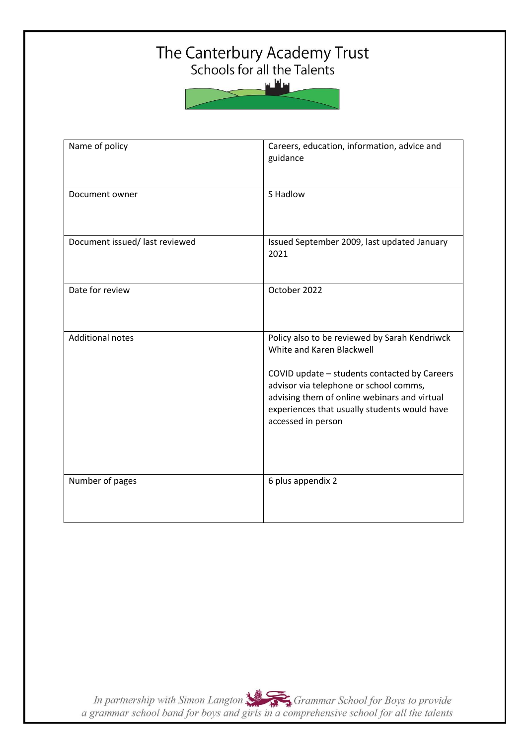# The Canterbury Academy Trust<br>Schools for all the Talents

سافلس

| Name of policy                | Careers, education, information, advice and<br>guidance                                                                                                                                                                                                                                    |
|-------------------------------|--------------------------------------------------------------------------------------------------------------------------------------------------------------------------------------------------------------------------------------------------------------------------------------------|
| Document owner                | S Hadlow                                                                                                                                                                                                                                                                                   |
| Document issued/last reviewed | Issued September 2009, last updated January<br>2021                                                                                                                                                                                                                                        |
| Date for review               | October 2022                                                                                                                                                                                                                                                                               |
| <b>Additional notes</b>       | Policy also to be reviewed by Sarah Kendriwck<br>White and Karen Blackwell<br>COVID update - students contacted by Careers<br>advisor via telephone or school comms,<br>advising them of online webinars and virtual<br>experiences that usually students would have<br>accessed in person |
| Number of pages               | 6 plus appendix 2                                                                                                                                                                                                                                                                          |

In partnership with Simon Langton Sexting Grammar School for Boys to provide<br>a grammar school band for boys and girls in a comprehensive school for all the talents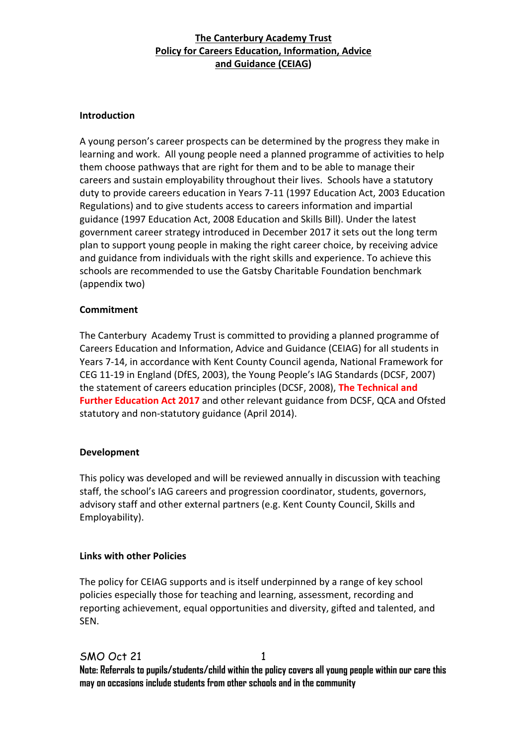#### **Introduction**

A young person's career prospects can be determined by the progress they make in learning and work. All young people need a planned programme of activities to help them choose pathways that are right for them and to be able to manage their careers and sustain employability throughout their lives. Schools have a statutory duty to provide careers education in Years 7-11 (1997 Education Act, 2003 Education Regulations) and to give students access to careers information and impartial guidance (1997 Education Act, 2008 Education and Skills Bill). Under the latest government career strategy introduced in December 2017 it sets out the long term plan to support young people in making the right career choice, by receiving advice and guidance from individuals with the right skills and experience. To achieve this schools are recommended to use the Gatsby Charitable Foundation benchmark (appendix two)

#### **Commitment**

The Canterbury Academy Trust is committed to providing a planned programme of Careers Education and Information, Advice and Guidance (CEIAG) for all students in Years 7-14, in accordance with Kent County Council agenda, National Framework for CEG 11-19 in England (DfES, 2003), the Young People's IAG Standards (DCSF, 2007) the statement of careers education principles (DCSF, 2008), **The Technical and Further Education Act 2017** and other relevant guidance from DCSF, QCA and Ofsted statutory and non-statutory guidance (April 2014).

#### **Development**

This policy was developed and will be reviewed annually in discussion with teaching staff, the school's IAG careers and progression coordinator, students, governors, advisory staff and other external partners (e.g. Kent County Council, Skills and Employability).

#### **Links with other Policies**

The policy for CEIAG supports and is itself underpinned by a range of key school policies especially those for teaching and learning, assessment, recording and reporting achievement, equal opportunities and diversity, gifted and talented, and SEN.

### SMO Oct 21

1

**Note: Referrals to pupils/students/child within the policy covers all young people within our care this may on occasions include students from other schools and in the community**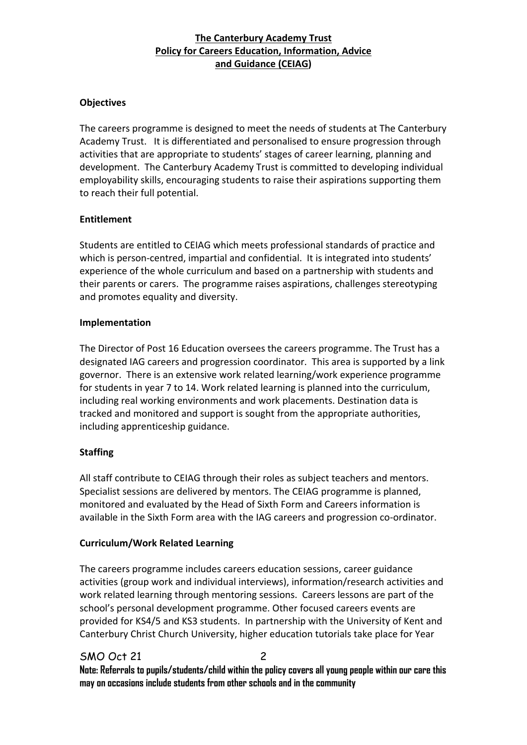#### **Objectives**

The careers programme is designed to meet the needs of students at The Canterbury Academy Trust. It is differentiated and personalised to ensure progression through activities that are appropriate to students' stages of career learning, planning and development. The Canterbury Academy Trust is committed to developing individual employability skills, encouraging students to raise their aspirations supporting them to reach their full potential.

#### **Entitlement**

Students are entitled to CEIAG which meets professional standards of practice and which is person-centred, impartial and confidential. It is integrated into students' experience of the whole curriculum and based on a partnership with students and their parents or carers. The programme raises aspirations, challenges stereotyping and promotes equality and diversity.

#### **Implementation**

The Director of Post 16 Education oversees the careers programme. The Trust has a designated IAG careers and progression coordinator. This area is supported by a link governor. There is an extensive work related learning/work experience programme for students in year 7 to 14. Work related learning is planned into the curriculum, including real working environments and work placements. Destination data is tracked and monitored and support is sought from the appropriate authorities, including apprenticeship guidance.

#### **Staffing**

All staff contribute to CEIAG through their roles as subject teachers and mentors. Specialist sessions are delivered by mentors. The CEIAG programme is planned, monitored and evaluated by the Head of Sixth Form and Careers information is available in the Sixth Form area with the IAG careers and progression co-ordinator.

#### **Curriculum/Work Related Learning**

The careers programme includes careers education sessions, career guidance activities (group work and individual interviews), information/research activities and work related learning through mentoring sessions. Careers lessons are part of the school's personal development programme. Other focused careers events are provided for KS4/5 and KS3 students. In partnership with the University of Kent and Canterbury Christ Church University, higher education tutorials take place for Year

#### SMO Oct 21 **Note: Referrals to pupils/students/child within the policy covers all young people within our care this may on occasions include students from other schools and in the community**   $\mathfrak{p}$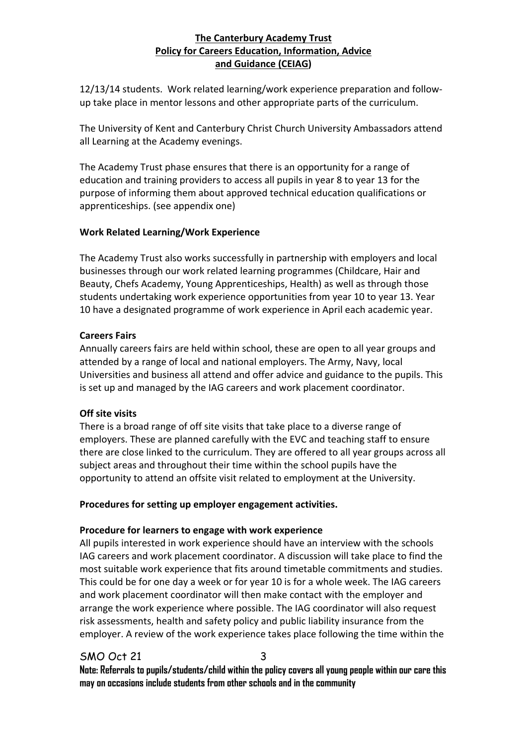12/13/14 students. Work related learning/work experience preparation and followup take place in mentor lessons and other appropriate parts of the curriculum.

The University of Kent and Canterbury Christ Church University Ambassadors attend all Learning at the Academy evenings.

The Academy Trust phase ensures that there is an opportunity for a range of education and training providers to access all pupils in year 8 to year 13 for the purpose of informing them about approved technical education qualifications or apprenticeships. (see appendix one)

#### **Work Related Learning/Work Experience**

The Academy Trust also works successfully in partnership with employers and local businesses through our work related learning programmes (Childcare, Hair and Beauty, Chefs Academy, Young Apprenticeships, Health) as well as through those students undertaking work experience opportunities from year 10 to year 13. Year 10 have a designated programme of work experience in April each academic year.

#### **Careers Fairs**

Annually careers fairs are held within school, these are open to all year groups and attended by a range of local and national employers. The Army, Navy, local Universities and business all attend and offer advice and guidance to the pupils. This is set up and managed by the IAG careers and work placement coordinator.

#### **Off site visits**

There is a broad range of off site visits that take place to a diverse range of employers. These are planned carefully with the EVC and teaching staff to ensure there are close linked to the curriculum. They are offered to all year groups across all subject areas and throughout their time within the school pupils have the opportunity to attend an offsite visit related to employment at the University.

#### **Procedures for setting up employer engagement activities.**

#### **Procedure for learners to engage with work experience**

All pupils interested in work experience should have an interview with the schools IAG careers and work placement coordinator. A discussion will take place to find the most suitable work experience that fits around timetable commitments and studies. This could be for one day a week or for year 10 is for a whole week. The IAG careers and work placement coordinator will then make contact with the employer and arrange the work experience where possible. The IAG coordinator will also request risk assessments, health and safety policy and public liability insurance from the employer. A review of the work experience takes place following the time within the

### SMO Oct 21

3

**Note: Referrals to pupils/students/child within the policy covers all young people within our care this may on occasions include students from other schools and in the community**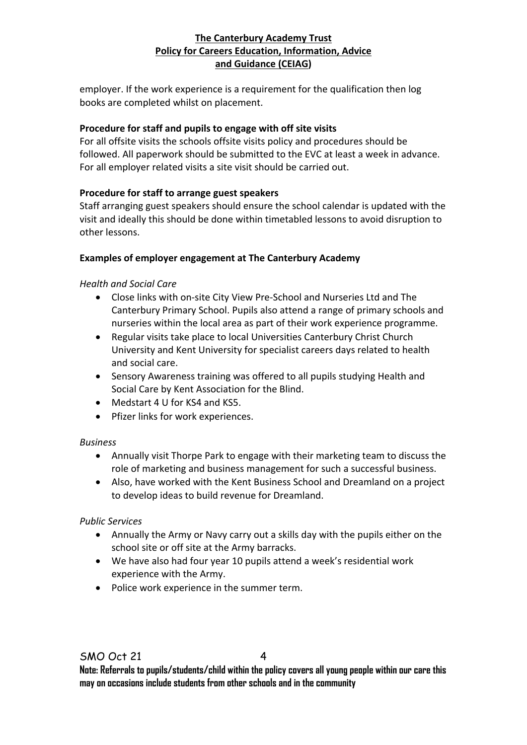employer. If the work experience is a requirement for the qualification then log books are completed whilst on placement.

#### **Procedure for staff and pupils to engage with off site visits**

For all offsite visits the schools offsite visits policy and procedures should be followed. All paperwork should be submitted to the EVC at least a week in advance. For all employer related visits a site visit should be carried out.

#### **Procedure for staff to arrange guest speakers**

Staff arranging guest speakers should ensure the school calendar is updated with the visit and ideally this should be done within timetabled lessons to avoid disruption to other lessons.

#### **Examples of employer engagement at The Canterbury Academy**

#### *Health and Social Care*

- Close links with on-site City View Pre-School and Nurseries Ltd and The Canterbury Primary School. Pupils also attend a range of primary schools and nurseries within the local area as part of their work experience programme.
- Regular visits take place to local Universities Canterbury Christ Church University and Kent University for specialist careers days related to health and social care.
- Sensory Awareness training was offered to all pupils studying Health and Social Care by Kent Association for the Blind.
- Medstart 4 U for KS4 and KS5.
- Pfizer links for work experiences.

#### *Business*

- Annually visit Thorpe Park to engage with their marketing team to discuss the role of marketing and business management for such a successful business.
- Also, have worked with the Kent Business School and Dreamland on a project to develop ideas to build revenue for Dreamland.

#### *Public Services*

- Annually the Army or Navy carry out a skills day with the pupils either on the school site or off site at the Army barracks.
- We have also had four year 10 pupils attend a week's residential work experience with the Army.
- Police work experience in the summer term.

 $\boldsymbol{\Lambda}$ 

**Note: Referrals to pupils/students/child within the policy covers all young people within our care this may on occasions include students from other schools and in the community**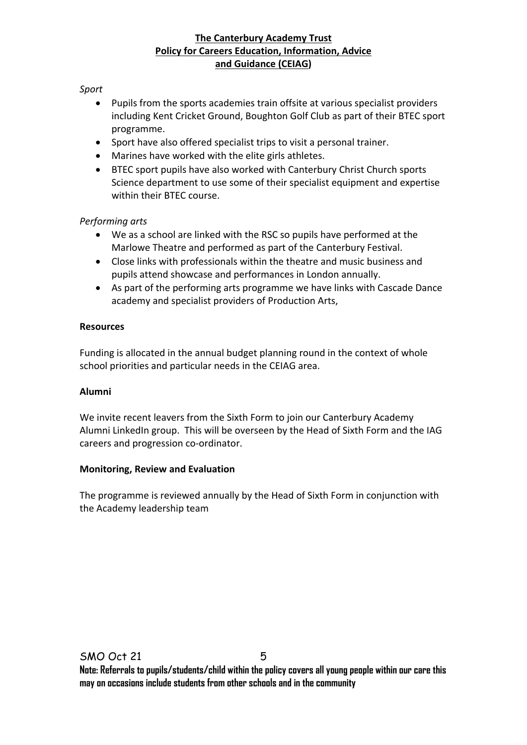#### *Sport*

- Pupils from the sports academies train offsite at various specialist providers including Kent Cricket Ground, Boughton Golf Club as part of their BTEC sport programme.
- Sport have also offered specialist trips to visit a personal trainer.
- Marines have worked with the elite girls athletes.
- BTEC sport pupils have also worked with Canterbury Christ Church sports Science department to use some of their specialist equipment and expertise within their BTEC course.

#### *Performing arts*

- We as a school are linked with the RSC so pupils have performed at the Marlowe Theatre and performed as part of the Canterbury Festival.
- Close links with professionals within the theatre and music business and pupils attend showcase and performances in London annually.
- As part of the performing arts programme we have links with Cascade Dance academy and specialist providers of Production Arts,

#### **Resources**

Funding is allocated in the annual budget planning round in the context of whole school priorities and particular needs in the CEIAG area.

#### **Alumni**

We invite recent leavers from the Sixth Form to join our Canterbury Academy Alumni LinkedIn group. This will be overseen by the Head of Sixth Form and the IAG careers and progression co-ordinator.

#### **Monitoring, Review and Evaluation**

The programme is reviewed annually by the Head of Sixth Form in conjunction with the Academy leadership team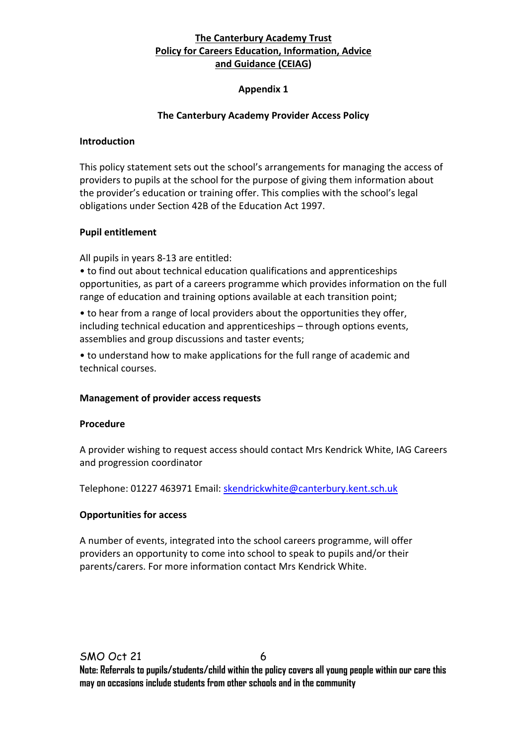#### **Appendix 1**

#### **The Canterbury Academy Provider Access Policy**

#### **Introduction**

This policy statement sets out the school's arrangements for managing the access of providers to pupils at the school for the purpose of giving them information about the provider's education or training offer. This complies with the school's legal obligations under Section 42B of the Education Act 1997.

#### **Pupil entitlement**

All pupils in years 8-13 are entitled:

• to find out about technical education qualifications and apprenticeships opportunities, as part of a careers programme which provides information on the full range of education and training options available at each transition point;

• to hear from a range of local providers about the opportunities they offer, including technical education and apprenticeships – through options events, assemblies and group discussions and taster events;

• to understand how to make applications for the full range of academic and technical courses.

#### **Management of provider access requests**

#### **Procedure**

A provider wishing to request access should contact Mrs Kendrick White, IAG Careers and progression coordinator

Telephone: 01227 463971 Email: [skendrickwhite@canterbury.kent.sch.uk](mailto:skendrickwhite@canterbury.kent.sch.uk)

#### **Opportunities for access**

A number of events, integrated into the school careers programme, will offer providers an opportunity to come into school to speak to pupils and/or their parents/carers. For more information contact Mrs Kendrick White.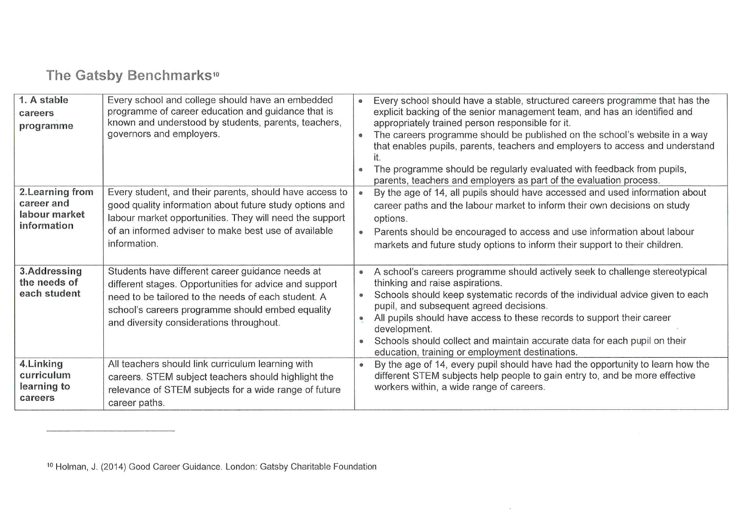## The Gatsby Benchmarks<sup>10</sup>

| 1. A stable<br>careers<br>programme                            | Every school and college should have an embedded<br>programme of career education and guidance that is<br>known and understood by students, parents, teachers,<br>governors and employers.                                                                        | Every school should have a stable, structured careers programme that has the<br>$\bullet$<br>explicit backing of the senior management team, and has an identified and<br>appropriately trained person responsible for it.<br>The careers programme should be published on the school's website in a way<br>$\circledcirc$<br>that enables pupils, parents, teachers and employers to access and understand<br>The programme should be regularly evaluated with feedback from pupils,                                                 |
|----------------------------------------------------------------|-------------------------------------------------------------------------------------------------------------------------------------------------------------------------------------------------------------------------------------------------------------------|---------------------------------------------------------------------------------------------------------------------------------------------------------------------------------------------------------------------------------------------------------------------------------------------------------------------------------------------------------------------------------------------------------------------------------------------------------------------------------------------------------------------------------------|
| 2. Learning from<br>career and<br>labour market<br>information | Every student, and their parents, should have access to<br>good quality information about future study options and<br>labour market opportunities. They will need the support<br>of an informed adviser to make best use of available<br>information.             | parents, teachers and employers as part of the evaluation process.<br>By the age of 14, all pupils should have accessed and used information about<br>$\bullet$<br>career paths and the labour market to inform their own decisions on study<br>options.<br>Parents should be encouraged to access and use information about labour<br>$\bullet$<br>markets and future study options to inform their support to their children.                                                                                                       |
| 3.Addressing<br>the needs of<br>each student                   | Students have different career guidance needs at<br>different stages. Opportunities for advice and support<br>need to be tailored to the needs of each student. A<br>school's careers programme should embed equality<br>and diversity considerations throughout. | A school's careers programme should actively seek to challenge stereotypical<br>$\bullet$<br>thinking and raise aspirations.<br>Schools should keep systematic records of the individual advice given to each<br>$\bullet$<br>pupil, and subsequent agreed decisions.<br>All pupils should have access to these records to support their career<br>$\qquad \qquad \circ$<br>development.<br>Schools should collect and maintain accurate data for each pupil on their<br>$\bullet$<br>education, training or employment destinations. |
| 4. Linking<br>curriculum<br>learning to<br>careers             | All teachers should link curriculum learning with<br>careers. STEM subject teachers should highlight the<br>relevance of STEM subjects for a wide range of future<br>career paths.                                                                                | By the age of 14, every pupil should have had the opportunity to learn how the<br>$\bullet$<br>different STEM subjects help people to gain entry to, and be more effective<br>workers within, a wide range of careers.                                                                                                                                                                                                                                                                                                                |

r.

<sup>10</sup> Holman, J. (2014) Good Career Guidance. London: Gatsby Charitable Foundation